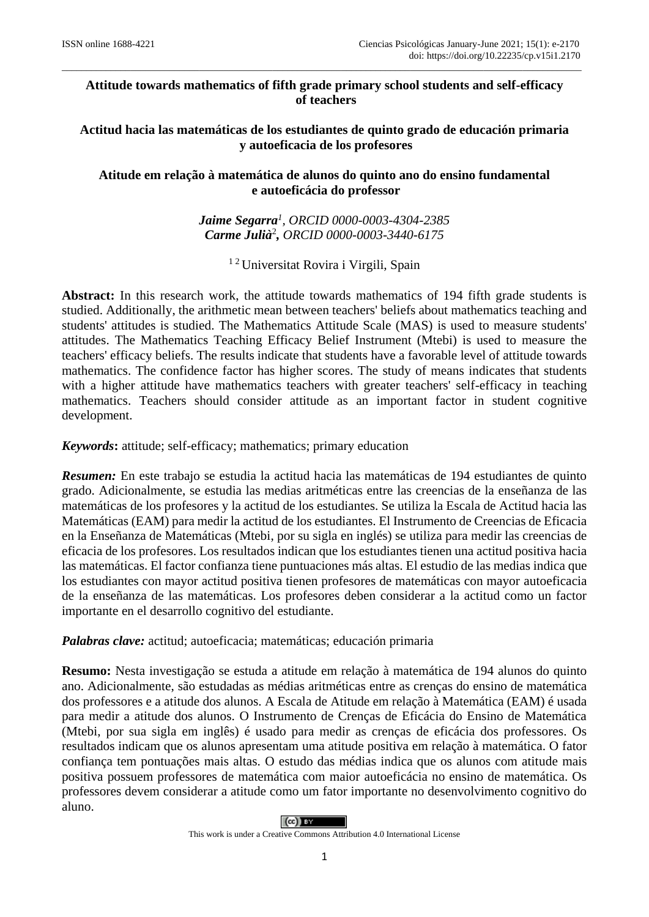# **Attitude towards mathematics of fifth grade primary school students and self-efficacy of teachers**

\_\_\_\_\_\_\_\_\_\_\_\_\_\_\_\_\_\_\_\_\_\_\_\_\_\_\_\_\_\_\_\_\_\_\_\_\_\_\_\_\_\_\_\_\_\_\_\_\_\_\_\_\_\_\_\_\_\_\_\_\_\_\_\_\_\_\_\_\_\_\_\_\_\_\_\_\_\_\_\_\_\_\_\_\_\_\_\_\_\_\_\_\_\_\_\_\_\_\_\_\_\_\_\_\_\_

**Actitud hacia las matemáticas de los estudiantes de quinto grado de educación primaria y autoeficacia de los profesores**

## **Atitude em relação à matemática de alunos do quinto ano do ensino fundamental e autoeficácia do professor**

*Jaime Segarra<sup>1</sup> , ORCID 0000-0003-4304-2385 Carme Julià*<sup>2</sup> *, ORCID 0000-0003-3440-6175*

<sup>12</sup> Universitat Rovira i Virgili, Spain

**Abstract:** In this research work, the attitude towards mathematics of 194 fifth grade students is studied. Additionally, the arithmetic mean between teachers' beliefs about mathematics teaching and students' attitudes is studied. The Mathematics Attitude Scale (MAS) is used to measure students' attitudes. The Mathematics Teaching Efficacy Belief Instrument (Mtebi) is used to measure the teachers' efficacy beliefs. The results indicate that students have a favorable level of attitude towards mathematics. The confidence factor has higher scores. The study of means indicates that students with a higher attitude have mathematics teachers with greater teachers' self-efficacy in teaching mathematics. Teachers should consider attitude as an important factor in student cognitive development.

*Keywords***:** attitude; self-efficacy; mathematics; primary education

*Resumen:* En este trabajo se estudia la actitud hacia las matemáticas de 194 estudiantes de quinto grado. Adicionalmente, se estudia las medias aritméticas entre las creencias de la enseñanza de las matemáticas de los profesores y la actitud de los estudiantes. Se utiliza la Escala de Actitud hacia las Matemáticas (EAM) para medir la actitud de los estudiantes. El Instrumento de Creencias de Eficacia en la Enseñanza de Matemáticas (Mtebi, por su sigla en inglés) se utiliza para medir las creencias de eficacia de los profesores. Los resultados indican que los estudiantes tienen una actitud positiva hacia las matemáticas. El factor confianza tiene puntuaciones más altas. El estudio de las medias indica que los estudiantes con mayor actitud positiva tienen profesores de matemáticas con mayor autoeficacia de la enseñanza de las matemáticas. Los profesores deben considerar a la actitud como un factor importante en el desarrollo cognitivo del estudiante.

*Palabras clave:* actitud; autoeficacia; matemáticas; educación primaria

**Resumo:** Nesta investigação se estuda a atitude em relação à matemática de 194 alunos do quinto ano. Adicionalmente, são estudadas as médias aritméticas entre as crenças do ensino de matemática dos professores e a atitude dos alunos. A Escala de Atitude em relação à Matemática (EAM) é usada para medir a atitude dos alunos. O Instrumento de Crenças de Eficácia do Ensino de Matemática (Mtebi, por sua sigla em inglês) é usado para medir as crenças de eficácia dos professores. Os resultados indicam que os alunos apresentam uma atitude positiva em relação à matemática. O fator confiança tem pontuações mais altas. O estudo das médias indica que os alunos com atitude mais positiva possuem professores de matemática com maior autoeficácia no ensino de matemática. Os professores devem considerar a atitude como um fator importante no desenvolvimento cognitivo do aluno.



This work is under a Creative Commons Attribution 4.0 International License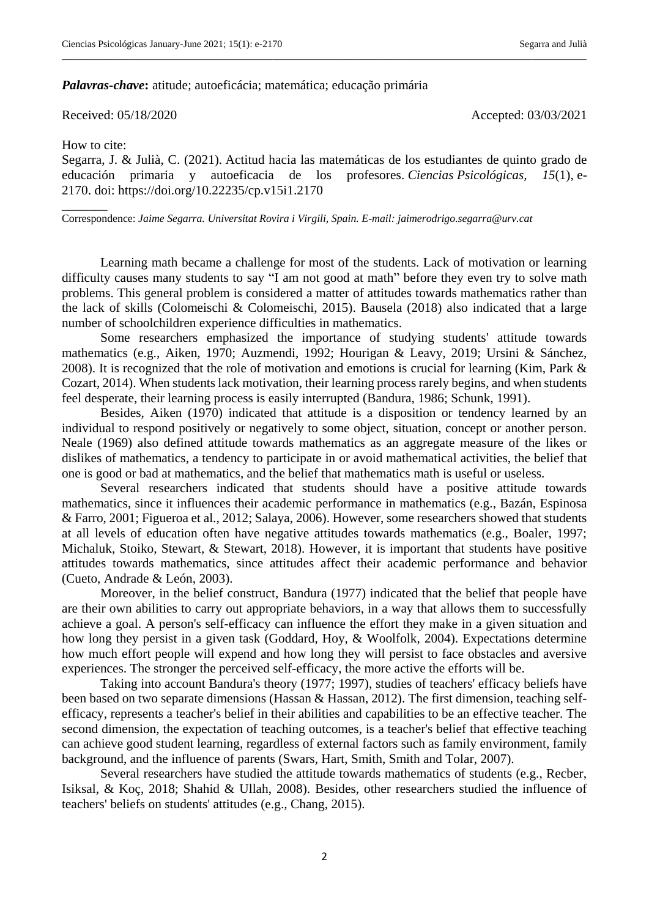#### *Palavras-chave***:** atitude; autoeficácia; matemática; educação primária

Received: 05/18/2020 Accepted: 03/03/2021

How to cite:

\_\_\_\_\_\_\_

Segarra, J. & Julià, C. (2021). Actitud hacia las matemáticas de los estudiantes de quinto grado de educación primaria y autoeficacia de los profesores. *Ciencias Psicológicas, 15*(1), e-2170. doi: https://doi.org/10.22235/cp.v15i1.2170

\_\_\_\_\_\_\_\_\_\_\_\_\_\_\_\_\_\_\_\_\_\_\_\_\_\_\_\_\_\_\_\_\_\_\_\_\_\_\_\_\_\_\_\_\_\_\_\_\_\_\_\_\_\_\_\_\_\_\_\_\_\_\_\_\_\_\_\_\_\_\_\_\_\_\_\_\_\_\_\_\_\_\_\_\_\_\_\_\_\_\_\_\_\_\_\_\_\_\_\_\_\_\_\_\_\_\_

Correspondence: *Jaime Segarra. Universitat Rovira i Virgili, Spain. E-mail: jaimerodrigo.segarra@urv.cat*

Learning math became a challenge for most of the students. Lack of motivation or learning difficulty causes many students to say "I am not good at math" before they even try to solve math problems. This general problem is considered a matter of attitudes towards mathematics rather than the lack of skills (Colomeischi & Colomeischi, 2015). Bausela (2018) also indicated that a large number of schoolchildren experience difficulties in mathematics.

Some researchers emphasized the importance of studying students' attitude towards mathematics (e.g., Aiken, 1970; Auzmendi, 1992; Hourigan & Leavy, 2019; Ursini & Sánchez, 2008). It is recognized that the role of motivation and emotions is crucial for learning (Kim, Park & Cozart, 2014). When students lack motivation, their learning process rarely begins, and when students feel desperate, their learning process is easily interrupted (Bandura, 1986; Schunk, 1991).

Besides, Aiken (1970) indicated that attitude is a disposition or tendency learned by an individual to respond positively or negatively to some object, situation, concept or another person. Neale (1969) also defined attitude towards mathematics as an aggregate measure of the likes or dislikes of mathematics, a tendency to participate in or avoid mathematical activities, the belief that one is good or bad at mathematics, and the belief that mathematics math is useful or useless.

Several researchers indicated that students should have a positive attitude towards mathematics, since it influences their academic performance in mathematics (e.g., Bazán, Espinosa & Farro, 2001; Figueroa et al., 2012; Salaya, 2006). However, some researchers showed that students at all levels of education often have negative attitudes towards mathematics (e.g., Boaler, 1997; Michaluk, Stoiko, Stewart, & Stewart, 2018). However, it is important that students have positive attitudes towards mathematics, since attitudes affect their academic performance and behavior (Cueto, Andrade & León, 2003).

Moreover, in the belief construct, Bandura (1977) indicated that the belief that people have are their own abilities to carry out appropriate behaviors, in a way that allows them to successfully achieve a goal. A person's self-efficacy can influence the effort they make in a given situation and how long they persist in a given task (Goddard, Hoy, & Woolfolk, 2004). Expectations determine how much effort people will expend and how long they will persist to face obstacles and aversive experiences. The stronger the perceived self-efficacy, the more active the efforts will be.

Taking into account Bandura's theory (1977; 1997), studies of teachers' efficacy beliefs have been based on two separate dimensions (Hassan & Hassan, 2012). The first dimension, teaching selfefficacy, represents a teacher's belief in their abilities and capabilities to be an effective teacher. The second dimension, the expectation of teaching outcomes, is a teacher's belief that effective teaching can achieve good student learning, regardless of external factors such as family environment, family background, and the influence of parents (Swars, Hart, Smith, Smith and Tolar, 2007).

Several researchers have studied the attitude towards mathematics of students (e.g., Recber, Isiksal, & Koç, 2018; Shahid & Ullah, 2008). Besides, other researchers studied the influence of teachers' beliefs on students' attitudes (e.g., Chang, 2015).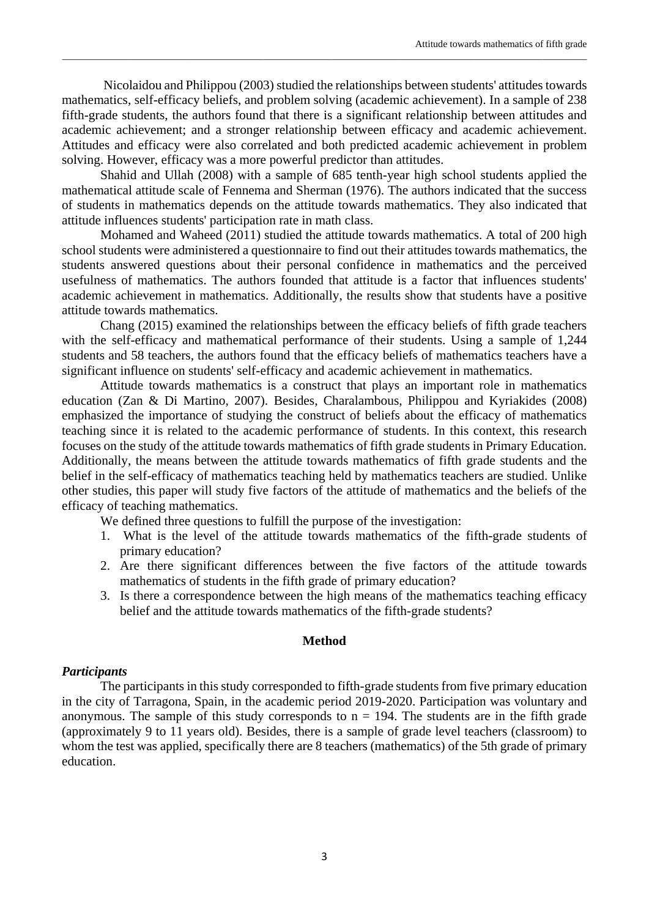Nicolaidou and Philippou (2003) studied the relationships between students' attitudes towards mathematics, self-efficacy beliefs, and problem solving (academic achievement). In a sample of 238 fifth-grade students, the authors found that there is a significant relationship between attitudes and academic achievement; and a stronger relationship between efficacy and academic achievement. Attitudes and efficacy were also correlated and both predicted academic achievement in problem solving. However, efficacy was a more powerful predictor than attitudes.

\_\_\_\_\_\_\_\_\_\_\_\_\_\_\_\_\_\_\_\_\_\_\_\_\_\_\_\_\_\_\_\_\_\_\_\_\_\_\_\_\_\_\_\_\_\_\_\_\_\_\_\_\_\_\_\_\_\_\_\_\_\_\_\_\_\_\_\_\_\_\_\_\_\_\_\_\_\_\_\_\_\_\_\_\_\_\_\_\_\_\_\_\_\_\_\_\_\_\_\_\_\_\_\_\_\_\_

Shahid and Ullah (2008) with a sample of 685 tenth-year high school students applied the mathematical attitude scale of Fennema and Sherman (1976). The authors indicated that the success of students in mathematics depends on the attitude towards mathematics. They also indicated that attitude influences students' participation rate in math class.

Mohamed and Waheed (2011) studied the attitude towards mathematics. A total of 200 high school students were administered a questionnaire to find out their attitudes towards mathematics, the students answered questions about their personal confidence in mathematics and the perceived usefulness of mathematics. The authors founded that attitude is a factor that influences students' academic achievement in mathematics. Additionally, the results show that students have a positive attitude towards mathematics.

Chang (2015) examined the relationships between the efficacy beliefs of fifth grade teachers with the self-efficacy and mathematical performance of their students. Using a sample of 1,244 students and 58 teachers, the authors found that the efficacy beliefs of mathematics teachers have a significant influence on students' self-efficacy and academic achievement in mathematics.

Attitude towards mathematics is a construct that plays an important role in mathematics education (Zan & Di Martino, 2007). Besides, Charalambous, Philippou and Kyriakides (2008) emphasized the importance of studying the construct of beliefs about the efficacy of mathematics teaching since it is related to the academic performance of students. In this context, this research focuses on the study of the attitude towards mathematics of fifth grade students in Primary Education. Additionally, the means between the attitude towards mathematics of fifth grade students and the belief in the self-efficacy of mathematics teaching held by mathematics teachers are studied. Unlike other studies, this paper will study five factors of the attitude of mathematics and the beliefs of the efficacy of teaching mathematics.

We defined three questions to fulfill the purpose of the investigation:

- 1. What is the level of the attitude towards mathematics of the fifth-grade students of primary education?
- 2. Are there significant differences between the five factors of the attitude towards mathematics of students in the fifth grade of primary education?
- 3. Is there a correspondence between the high means of the mathematics teaching efficacy belief and the attitude towards mathematics of the fifth-grade students?

## **Method**

## *Participants*

The participants in this study corresponded to fifth-grade students from five primary education in the city of Tarragona, Spain, in the academic period 2019-2020. Participation was voluntary and anonymous. The sample of this study corresponds to  $n = 194$ . The students are in the fifth grade (approximately 9 to 11 years old). Besides, there is a sample of grade level teachers (classroom) to whom the test was applied, specifically there are 8 teachers (mathematics) of the 5th grade of primary education.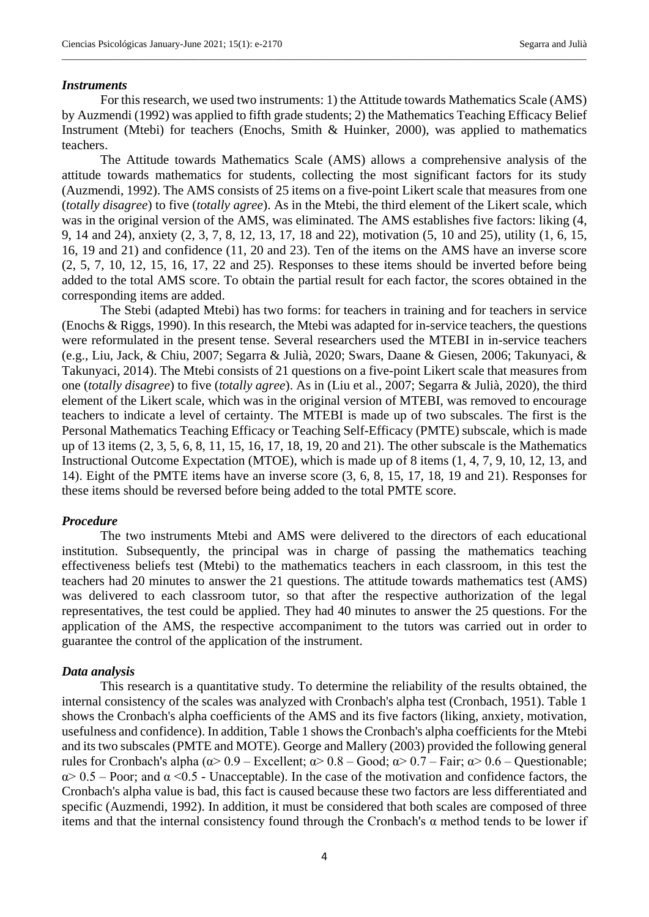#### *Instruments*

For this research, we used two instruments: 1) the Attitude towards Mathematics Scale (AMS) by Auzmendi (1992) was applied to fifth grade students; 2) the Mathematics Teaching Efficacy Belief Instrument (Mtebi) for teachers (Enochs, Smith & Huinker, 2000), was applied to mathematics teachers.

\_\_\_\_\_\_\_\_\_\_\_\_\_\_\_\_\_\_\_\_\_\_\_\_\_\_\_\_\_\_\_\_\_\_\_\_\_\_\_\_\_\_\_\_\_\_\_\_\_\_\_\_\_\_\_\_\_\_\_\_\_\_\_\_\_\_\_\_\_\_\_\_\_\_\_\_\_\_\_\_\_\_\_\_\_\_\_\_\_\_\_\_\_\_\_\_\_\_\_\_\_\_\_\_\_\_\_

The Attitude towards Mathematics Scale (AMS) allows a comprehensive analysis of the attitude towards mathematics for students, collecting the most significant factors for its study (Auzmendi, 1992). The AMS consists of 25 items on a five-point Likert scale that measures from one (*totally disagree*) to five (*totally agree*). As in the Mtebi, the third element of the Likert scale, which was in the original version of the AMS, was eliminated. The AMS establishes five factors: liking (4, 9, 14 and 24), anxiety (2, 3, 7, 8, 12, 13, 17, 18 and 22), motivation (5, 10 and 25), utility (1, 6, 15, 16, 19 and 21) and confidence (11, 20 and 23). Ten of the items on the AMS have an inverse score (2, 5, 7, 10, 12, 15, 16, 17, 22 and 25). Responses to these items should be inverted before being added to the total AMS score. To obtain the partial result for each factor, the scores obtained in the corresponding items are added.

The Stebi (adapted Mtebi) has two forms: for teachers in training and for teachers in service (Enochs & Riggs, 1990). In this research, the Mtebi was adapted for in-service teachers, the questions were reformulated in the present tense. Several researchers used the MTEBI in in-service teachers (e.g., Liu, Jack, & Chiu, 2007; Segarra & Julià, 2020; Swars, Daane & Giesen, 2006; Takunyaci, & Takunyaci, 2014). The Mtebi consists of 21 questions on a five-point Likert scale that measures from one (*totally disagree*) to five (*totally agree*). As in (Liu et al., 2007; Segarra & Julià, 2020), the third element of the Likert scale, which was in the original version of MTEBI, was removed to encourage teachers to indicate a level of certainty. The MTEBI is made up of two subscales. The first is the Personal Mathematics Teaching Efficacy or Teaching Self-Efficacy (PMTE) subscale, which is made up of 13 items (2, 3, 5, 6, 8, 11, 15, 16, 17, 18, 19, 20 and 21). The other subscale is the Mathematics Instructional Outcome Expectation (MTOE), which is made up of 8 items (1, 4, 7, 9, 10, 12, 13, and 14). Eight of the PMTE items have an inverse score (3, 6, 8, 15, 17, 18, 19 and 21). Responses for these items should be reversed before being added to the total PMTE score.

#### *Procedure*

The two instruments Mtebi and AMS were delivered to the directors of each educational institution. Subsequently, the principal was in charge of passing the mathematics teaching effectiveness beliefs test (Mtebi) to the mathematics teachers in each classroom, in this test the teachers had 20 minutes to answer the 21 questions. The attitude towards mathematics test (AMS) was delivered to each classroom tutor, so that after the respective authorization of the legal representatives, the test could be applied. They had 40 minutes to answer the 25 questions. For the application of the AMS, the respective accompaniment to the tutors was carried out in order to guarantee the control of the application of the instrument.

#### *Data analysis*

This research is a quantitative study. To determine the reliability of the results obtained, the internal consistency of the scales was analyzed with Cronbach's alpha test (Cronbach, 1951). Table 1 shows the Cronbach's alpha coefficients of the AMS and its five factors (liking, anxiety, motivation, usefulness and confidence). In addition, Table 1 shows the Cronbach's alpha coefficients for the Mtebi and its two subscales (PMTE and MOTE). George and Mallery (2003) provided the following general rules for Cronbach's alpha (α> 0.9 – Excellent; α> 0.8 – Good; α> 0.7 – Fair; α> 0.6 – Questionable;  $\alpha$  as  $0.5$  – Poor; and  $\alpha$  <0.5 - Unacceptable). In the case of the motivation and confidence factors, the Cronbach's alpha value is bad, this fact is caused because these two factors are less differentiated and specific (Auzmendi, 1992). In addition, it must be considered that both scales are composed of three items and that the internal consistency found through the Cronbach's α method tends to be lower if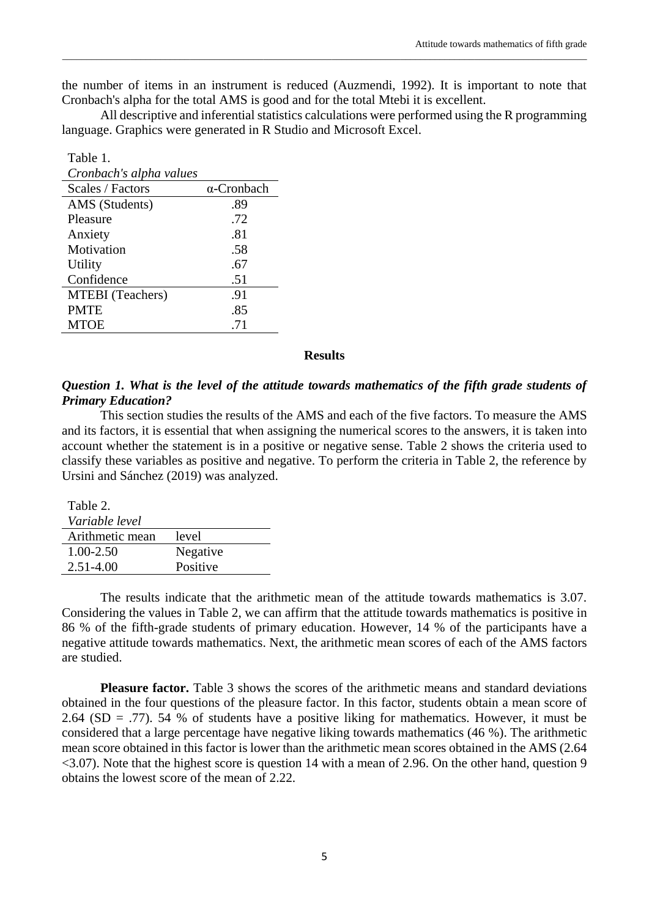the number of items in an instrument is reduced (Auzmendi, 1992). It is important to note that Cronbach's alpha for the total AMS is good and for the total Mtebi it is excellent.

\_\_\_\_\_\_\_\_\_\_\_\_\_\_\_\_\_\_\_\_\_\_\_\_\_\_\_\_\_\_\_\_\_\_\_\_\_\_\_\_\_\_\_\_\_\_\_\_\_\_\_\_\_\_\_\_\_\_\_\_\_\_\_\_\_\_\_\_\_\_\_\_\_\_\_\_\_\_\_\_\_\_\_\_\_\_\_\_\_\_\_\_\_\_\_\_\_\_\_\_\_\_\_\_\_\_\_

All descriptive and inferential statistics calculations were performed using the R programming language. Graphics were generated in R Studio and Microsoft Excel.

| Table 1.                |                    |
|-------------------------|--------------------|
| Cronbach's alpha values |                    |
| Scales / Factors        | $\alpha$ -Cronbach |
| AMS (Students)          | .89                |
| Pleasure                | .72                |
| Anxiety                 | .81                |
| Motivation              | .58                |
| Utility                 | .67                |
| Confidence              | .51                |
| <b>MTEBI</b> (Teachers) | .91                |
| <b>PMTE</b>             | .85                |
| MTOE                    | .71                |

### **Results**

## *Question 1. What is the level of the attitude towards mathematics of the fifth grade students of Primary Education?*

This section studies the results of the AMS and each of the five factors. To measure the AMS and its factors, it is essential that when assigning the numerical scores to the answers, it is taken into account whether the statement is in a positive or negative sense. Table 2 shows the criteria used to classify these variables as positive and negative. To perform the criteria in Table 2, the reference by Ursini and Sánchez (2019) was analyzed.

| Table 2.        |          |
|-----------------|----------|
| Variable level  |          |
| Arithmetic mean | level    |
| 1.00-2.50       | Negative |
| $2.51 - 4.00$   | Positive |

The results indicate that the arithmetic mean of the attitude towards mathematics is 3.07. Considering the values in Table 2, we can affirm that the attitude towards mathematics is positive in 86 % of the fifth-grade students of primary education. However, 14 % of the participants have a negative attitude towards mathematics. Next, the arithmetic mean scores of each of the AMS factors are studied.

**Pleasure factor.** Table 3 shows the scores of the arithmetic means and standard deviations obtained in the four questions of the pleasure factor. In this factor, students obtain a mean score of 2.64 (SD = .77). 54 % of students have a positive liking for mathematics. However, it must be considered that a large percentage have negative liking towards mathematics (46 %). The arithmetic mean score obtained in this factor is lower than the arithmetic mean scores obtained in the AMS (2.64 <3.07). Note that the highest score is question 14 with a mean of 2.96. On the other hand, question 9 obtains the lowest score of the mean of 2.22.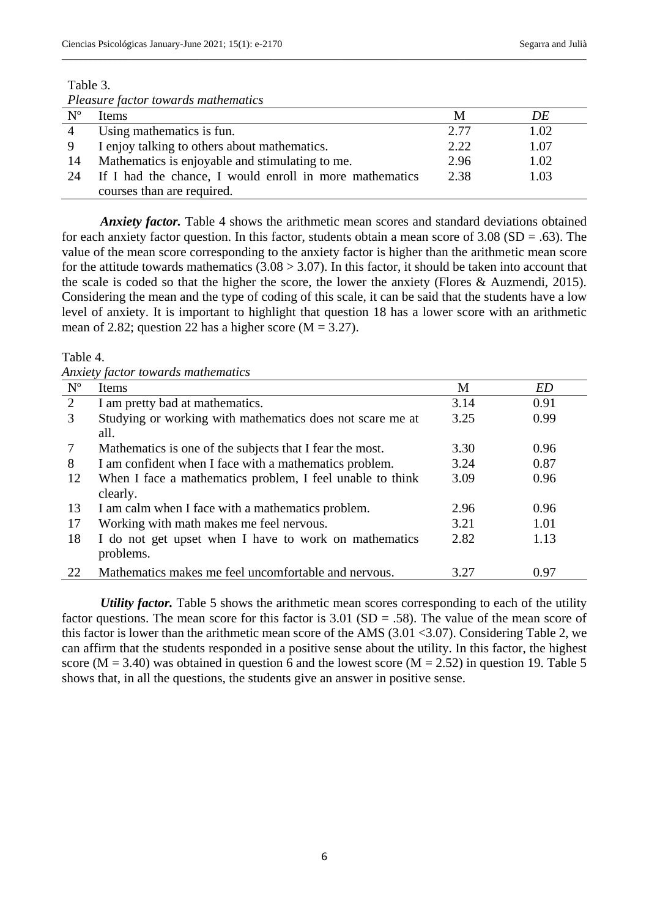## Table 3.

|                | <i>i</i> reasure factor towards mathematics             |      |      |
|----------------|---------------------------------------------------------|------|------|
| $N^{\rm o}$    | <b>Items</b>                                            | M    | DE   |
| $\overline{4}$ | Using mathematics is fun.                               | 2.77 | 1.02 |
|                | I enjoy talking to others about mathematics.            | 2.22 | 1.07 |
| 14             | Mathematics is enjoyable and stimulating to me.         | 2.96 | 1.02 |
| 24             | If I had the chance, I would enroll in more mathematics | 2.38 | 1.03 |
|                | courses than are required.                              |      |      |

\_\_\_\_\_\_\_\_\_\_\_\_\_\_\_\_\_\_\_\_\_\_\_\_\_\_\_\_\_\_\_\_\_\_\_\_\_\_\_\_\_\_\_\_\_\_\_\_\_\_\_\_\_\_\_\_\_\_\_\_\_\_\_\_\_\_\_\_\_\_\_\_\_\_\_\_\_\_\_\_\_\_\_\_\_\_\_\_\_\_\_\_\_\_\_\_\_\_\_\_\_\_\_\_\_\_\_

*Pleasure factor towards mathematics*

*Anxiety factor.* Table 4 shows the arithmetic mean scores and standard deviations obtained for each anxiety factor question. In this factor, students obtain a mean score of  $3.08$  (SD = .63). The value of the mean score corresponding to the anxiety factor is higher than the arithmetic mean score for the attitude towards mathematics  $(3.08 > 3.07)$ . In this factor, it should be taken into account that the scale is coded so that the higher the score, the lower the anxiety (Flores & Auzmendi, 2015). Considering the mean and the type of coding of this scale, it can be said that the students have a low level of anxiety. It is important to highlight that question 18 has a lower score with an arithmetic mean of 2.82; question 22 has a higher score ( $M = 3.27$ ).

Table 4.

*Anxiety factor towards mathematics*

| $N^{o}$ | Items                                                     | M    | ED   |
|---------|-----------------------------------------------------------|------|------|
| 2       | I am pretty bad at mathematics.                           | 3.14 | 0.91 |
| 3       | Studying or working with mathematics does not scare me at | 3.25 | 0.99 |
|         | all.                                                      |      |      |
| 7       | Mathematics is one of the subjects that I fear the most.  | 3.30 | 0.96 |
| 8       | I am confident when I face with a mathematics problem.    | 3.24 | 0.87 |
| 12      | When I face a mathematics problem, I feel unable to think | 3.09 | 0.96 |
|         | clearly.                                                  |      |      |
| 13      | I am calm when I face with a mathematics problem.         | 2.96 | 0.96 |
| 17      | Working with math makes me feel nervous.                  | 3.21 | 1.01 |
| 18      | I do not get upset when I have to work on mathematics     | 2.82 | 1.13 |
|         | problems.                                                 |      |      |
| 22      | Mathematics makes me feel uncomfortable and nervous.      | 3.27 | 0.97 |

*Utility factor.* Table 5 shows the arithmetic mean scores corresponding to each of the utility factor questions. The mean score for this factor is  $3.01$  (SD = .58). The value of the mean score of this factor is lower than the arithmetic mean score of the AMS (3.01 <3.07). Considering Table 2, we can affirm that the students responded in a positive sense about the utility. In this factor, the highest score ( $M = 3.40$ ) was obtained in question 6 and the lowest score ( $M = 2.52$ ) in question 19. Table 5 shows that, in all the questions, the students give an answer in positive sense.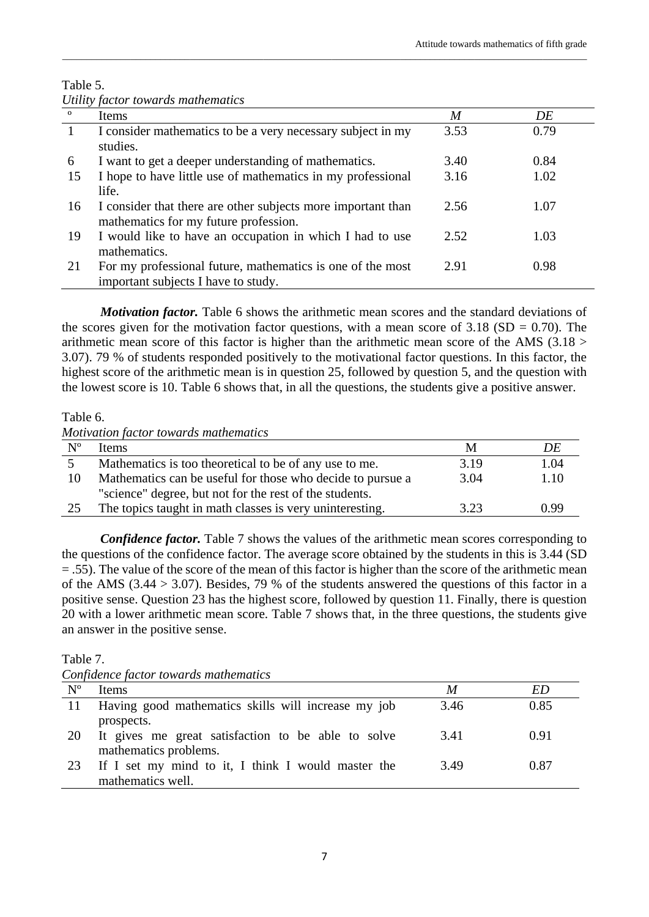|              | Utility factor towards mathematics                                                                    |      |      |
|--------------|-------------------------------------------------------------------------------------------------------|------|------|
| $\mathbf{o}$ | Items                                                                                                 | M    | DE   |
|              | I consider mathematics to be a very necessary subject in my<br>studies.                               | 3.53 | 0.79 |
| 6            | I want to get a deeper understanding of mathematics.                                                  | 3.40 | 0.84 |
| 15           | I hope to have little use of mathematics in my professional<br>life.                                  | 3.16 | 1.02 |
| 16           | I consider that there are other subjects more important than<br>mathematics for my future profession. | 2.56 | 1.07 |
| 19           | I would like to have an occupation in which I had to use<br>mathematics.                              | 2.52 | 1.03 |
| 21           | For my professional future, mathematics is one of the most<br>important subjects I have to study.     | 2.91 | 0.98 |

\_\_\_\_\_\_\_\_\_\_\_\_\_\_\_\_\_\_\_\_\_\_\_\_\_\_\_\_\_\_\_\_\_\_\_\_\_\_\_\_\_\_\_\_\_\_\_\_\_\_\_\_\_\_\_\_\_\_\_\_\_\_\_\_\_\_\_\_\_\_\_\_\_\_\_\_\_\_\_\_\_\_\_\_\_\_\_\_\_\_\_\_\_\_\_\_\_\_\_\_\_\_\_\_\_\_\_

# Table 5.

*Motivation factor*. Table 6 shows the arithmetic mean scores and the standard deviations of the scores given for the motivation factor questions, with a mean score of  $3.18$  (SD = 0.70). The arithmetic mean score of this factor is higher than the arithmetic mean score of the AMS (3.18 > 3.07). 79 % of students responded positively to the motivational factor questions. In this factor, the highest score of the arithmetic mean is in question 25, followed by question 5, and the question with the lowest score is 10. Table 6 shows that, in all the questions, the students give a positive answer.

Table 6.

*Motivation factor towards mathematics*

| $N^{\rm o}$ | <b>Items</b>                                               | М    | DE   |
|-------------|------------------------------------------------------------|------|------|
|             | Mathematics is too theoretical to be of any use to me.     | 3.19 | 1.04 |
| 10          | Mathematics can be useful for those who decide to pursue a | 3.04 | 1.10 |
|             | "science" degree, but not for the rest of the students.    |      |      |
| 25          | The topics taught in math classes is very uninteresting.   | 3.23 | 0.99 |

*Confidence factor.* Table 7 shows the values of the arithmetic mean scores corresponding to the questions of the confidence factor. The average score obtained by the students in this is 3.44 (SD = .55). The value of the score of the mean of this factor is higher than the score of the arithmetic mean of the AMS (3.44 > 3.07). Besides, 79 % of the students answered the questions of this factor in a positive sense. Question 23 has the highest score, followed by question 11. Finally, there is question 20 with a lower arithmetic mean score. Table 7 shows that, in the three questions, the students give an answer in the positive sense.

Table 7.

| Confidence factor towards mathematics |  |  |  |  |
|---------------------------------------|--|--|--|--|
|---------------------------------------|--|--|--|--|

| $N^{\circ}$ | <b>Items</b>                                        | M    | ED   |
|-------------|-----------------------------------------------------|------|------|
| -11-        | Having good mathematics skills will increase my job | 3.46 | 0.85 |
|             | prospects.                                          |      |      |
| 20          | It gives me great satisfaction to be able to solve  | 3.41 | 0.91 |
|             | mathematics problems.                               |      |      |
| 23          | If I set my mind to it, I think I would master the  | 3.49 | 0.87 |
|             | mathematics well.                                   |      |      |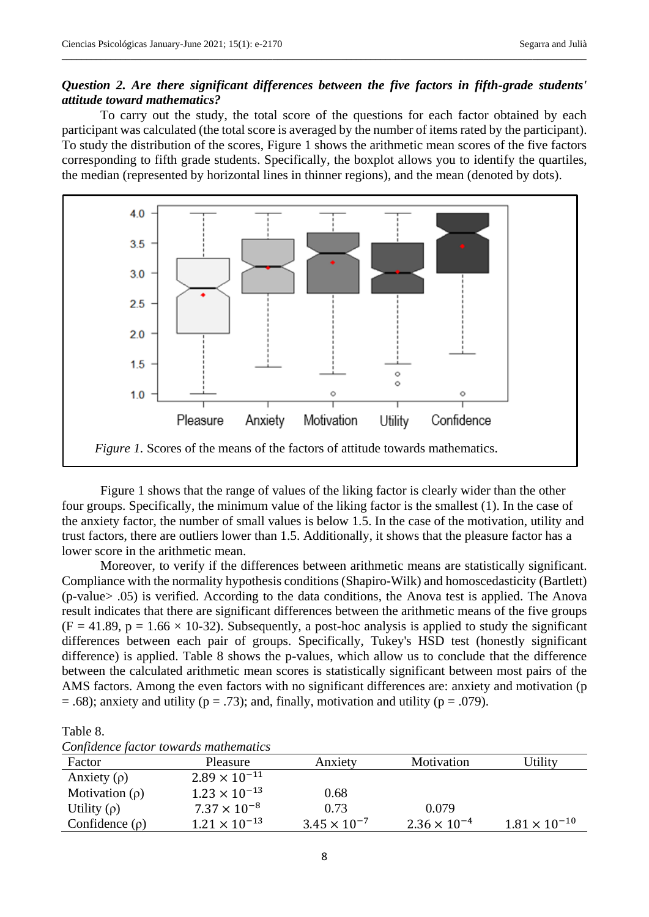# *Question 2. Are there significant differences between the five factors in fifth-grade students' attitude toward mathematics?*

\_\_\_\_\_\_\_\_\_\_\_\_\_\_\_\_\_\_\_\_\_\_\_\_\_\_\_\_\_\_\_\_\_\_\_\_\_\_\_\_\_\_\_\_\_\_\_\_\_\_\_\_\_\_\_\_\_\_\_\_\_\_\_\_\_\_\_\_\_\_\_\_\_\_\_\_\_\_\_\_\_\_\_\_\_\_\_\_\_\_\_\_\_\_\_\_\_\_\_\_\_\_\_\_\_\_\_

To carry out the study, the total score of the questions for each factor obtained by each participant was calculated (the total score is averaged by the number of items rated by the participant). To study the distribution of the scores, Figure 1 shows the arithmetic mean scores of the five factors corresponding to fifth grade students. Specifically, the boxplot allows you to identify the quartiles, the median (represented by horizontal lines in thinner regions), and the mean (denoted by dots).



Figure 1 shows that the range of values of the liking factor is clearly wider than the other four groups. Specifically, the minimum value of the liking factor is the smallest (1). In the case of the anxiety factor, the number of small values is below 1.5. In the case of the motivation, utility and trust factors, there are outliers lower than 1.5. Additionally, it shows that the pleasure factor has a lower score in the arithmetic mean.

Moreover, to verify if the differences between arithmetic means are statistically significant. Compliance with the normality hypothesis conditions (Shapiro-Wilk) and homoscedasticity (Bartlett) (p-value> .05) is verified. According to the data conditions, the Anova test is applied. The Anova result indicates that there are significant differences between the arithmetic means of the five groups  $(F = 41.89, p = 1.66 \times 10-32)$ . Subsequently, a post-hoc analysis is applied to study the significant differences between each pair of groups. Specifically, Tukey's HSD test (honestly significant difference) is applied. Table 8 shows the p-values, which allow us to conclude that the difference between the calculated arithmetic mean scores is statistically significant between most pairs of the AMS factors. Among the even factors with no significant differences are: anxiety and motivation (p  $= .68$ ); anxiety and utility ( $p = .73$ ); and, finally, motivation and utility ( $p = .079$ ).

### Table 8.

|  |  |  |  | Confidence factor towards mathematics |
|--|--|--|--|---------------------------------------|
|--|--|--|--|---------------------------------------|

| ------------        |                        |                       |                       |                        |
|---------------------|------------------------|-----------------------|-----------------------|------------------------|
| Factor              | Pleasure               | Anxiety               | Motivation            | Utility                |
| Anxiety $(\rho)$    | $2.89 \times 10^{-11}$ |                       |                       |                        |
| Motivation $(\rho)$ | $1.23 \times 10^{-13}$ | 0.68                  |                       |                        |
| Utility $(\rho)$    | $7.37 \times 10^{-8}$  | 0.73                  | 0.079                 |                        |
| Confidence $(\rho)$ | $1.21 \times 10^{-13}$ | $3.45 \times 10^{-7}$ | $2.36 \times 10^{-4}$ | $1.81 \times 10^{-10}$ |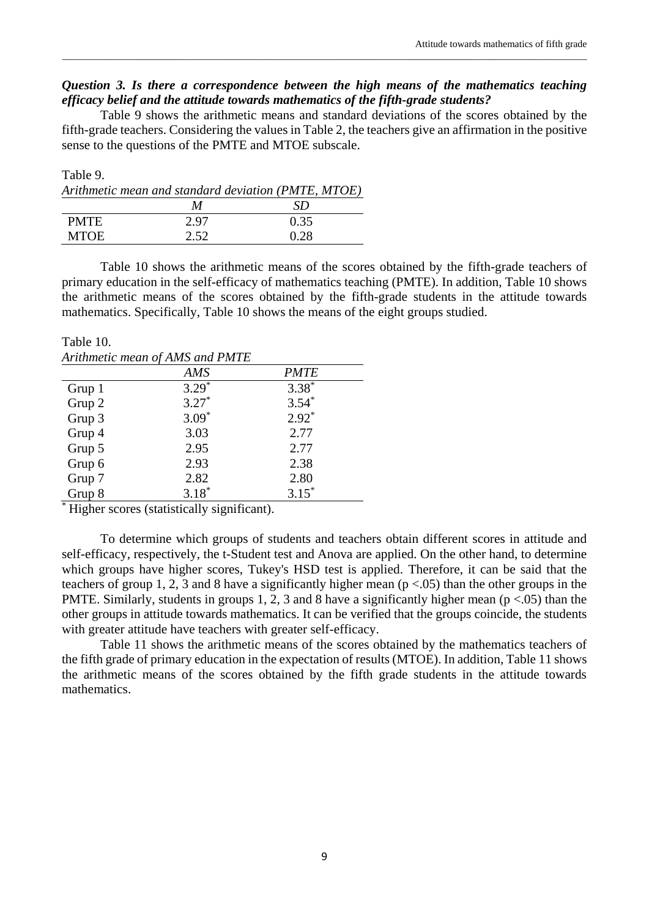## *Question 3. Is there a correspondence between the high means of the mathematics teaching efficacy belief and the attitude towards mathematics of the fifth-grade students?*

\_\_\_\_\_\_\_\_\_\_\_\_\_\_\_\_\_\_\_\_\_\_\_\_\_\_\_\_\_\_\_\_\_\_\_\_\_\_\_\_\_\_\_\_\_\_\_\_\_\_\_\_\_\_\_\_\_\_\_\_\_\_\_\_\_\_\_\_\_\_\_\_\_\_\_\_\_\_\_\_\_\_\_\_\_\_\_\_\_\_\_\_\_\_\_\_\_\_\_\_\_\_\_\_\_\_\_

Table 9 shows the arithmetic means and standard deviations of the scores obtained by the fifth-grade teachers. Considering the values in Table 2, the teachers give an affirmation in the positive sense to the questions of the PMTE and MTOE subscale.

| Table 9.    |      |                                                     |
|-------------|------|-----------------------------------------------------|
|             |      | Arithmetic mean and standard deviation (PMTE, MTOE) |
|             | M    | SD)                                                 |
| <b>PMTE</b> | 2.97 | 0.35                                                |
| <b>MTOE</b> | 2.52 | 0.28                                                |

Table 10 shows the arithmetic means of the scores obtained by the fifth-grade teachers of primary education in the self-efficacy of mathematics teaching (PMTE). In addition, Table 10 shows the arithmetic means of the scores obtained by the fifth-grade students in the attitude towards mathematics. Specifically, Table 10 shows the means of the eight groups studied.

Table 10. *Arithmetic mean of AMS and PMTE*

|        | <u>the internet mean</u> of the <i>and</i> that |             |
|--------|-------------------------------------------------|-------------|
|        | AMS                                             | <b>PMTE</b> |
| Grup 1 | $3.29*$                                         | $3.38*$     |
| Grup 2 | $3.27*$                                         | $3.54*$     |
| Grup 3 | $3.09*$                                         | $2.92*$     |
| Grup 4 | 3.03                                            | 2.77        |
| Grup 5 | 2.95                                            | 2.77        |
| Grup 6 | 2.93                                            | 2.38        |
| Grup 7 | 2.82                                            | 2.80        |
| Grup 8 | $3.18*$                                         | $3.15*$     |
|        |                                                 |             |

\* Higher scores (statistically significant).

To determine which groups of students and teachers obtain different scores in attitude and self-efficacy, respectively, the t-Student test and Anova are applied. On the other hand, to determine which groups have higher scores, Tukey's HSD test is applied. Therefore, it can be said that the teachers of group 1, 2, 3 and 8 have a significantly higher mean  $(p < .05)$  than the other groups in the PMTE. Similarly, students in groups 1, 2, 3 and 8 have a significantly higher mean ( $p < .05$ ) than the other groups in attitude towards mathematics. It can be verified that the groups coincide, the students with greater attitude have teachers with greater self-efficacy.

Table 11 shows the arithmetic means of the scores obtained by the mathematics teachers of the fifth grade of primary education in the expectation of results (MTOE). In addition, Table 11 shows the arithmetic means of the scores obtained by the fifth grade students in the attitude towards mathematics.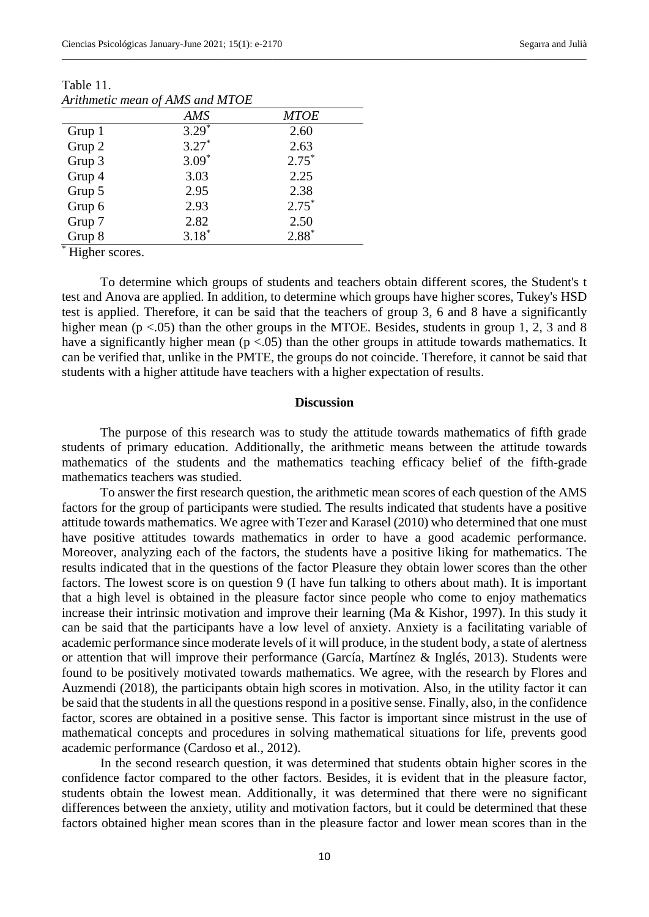|        | AMS     | <b>MTOE</b> |
|--------|---------|-------------|
| Grup 1 | $3.29*$ | 2.60        |
| Grup 2 | $3.27*$ | 2.63        |
| Grup 3 | $3.09*$ | $2.75*$     |
| Grup 4 | 3.03    | 2.25        |
| Grup 5 | 2.95    | 2.38        |
| Grup 6 | 2.93    | $2.75*$     |
| Grup 7 | 2.82    | 2.50        |
| Grup 8 | $3.18*$ | $2.88*$     |

Table 11. *Arithmetic mean of AMS and MTOE*

\* Higher scores.

To determine which groups of students and teachers obtain different scores, the Student's t test and Anova are applied. In addition, to determine which groups have higher scores, Tukey's HSD test is applied. Therefore, it can be said that the teachers of group 3, 6 and 8 have a significantly higher mean  $(p < .05)$  than the other groups in the MTOE. Besides, students in group 1, 2, 3 and 8 have a significantly higher mean ( $p < .05$ ) than the other groups in attitude towards mathematics. It can be verified that, unlike in the PMTE, the groups do not coincide. Therefore, it cannot be said that students with a higher attitude have teachers with a higher expectation of results.

\_\_\_\_\_\_\_\_\_\_\_\_\_\_\_\_\_\_\_\_\_\_\_\_\_\_\_\_\_\_\_\_\_\_\_\_\_\_\_\_\_\_\_\_\_\_\_\_\_\_\_\_\_\_\_\_\_\_\_\_\_\_\_\_\_\_\_\_\_\_\_\_\_\_\_\_\_\_\_\_\_\_\_\_\_\_\_\_\_\_\_\_\_\_\_\_\_\_\_\_\_\_\_\_\_\_\_

#### **Discussion**

The purpose of this research was to study the attitude towards mathematics of fifth grade students of primary education. Additionally, the arithmetic means between the attitude towards mathematics of the students and the mathematics teaching efficacy belief of the fifth-grade mathematics teachers was studied.

To answer the first research question, the arithmetic mean scores of each question of the AMS factors for the group of participants were studied. The results indicated that students have a positive attitude towards mathematics. We agree with Tezer and Karasel (2010) who determined that one must have positive attitudes towards mathematics in order to have a good academic performance. Moreover, analyzing each of the factors, the students have a positive liking for mathematics. The results indicated that in the questions of the factor Pleasure they obtain lower scores than the other factors. The lowest score is on question 9 (I have fun talking to others about math). It is important that a high level is obtained in the pleasure factor since people who come to enjoy mathematics increase their intrinsic motivation and improve their learning (Ma & Kishor, 1997). In this study it can be said that the participants have a low level of anxiety. Anxiety is a facilitating variable of academic performance since moderate levels of it will produce, in the student body, a state of alertness or attention that will improve their performance (García, Martínez & Inglés, 2013). Students were found to be positively motivated towards mathematics. We agree, with the research by Flores and Auzmendi (2018), the participants obtain high scores in motivation. Also, in the utility factor it can be said that the students in all the questions respond in a positive sense. Finally, also, in the confidence factor, scores are obtained in a positive sense. This factor is important since mistrust in the use of mathematical concepts and procedures in solving mathematical situations for life, prevents good academic performance (Cardoso et al., 2012).

In the second research question, it was determined that students obtain higher scores in the confidence factor compared to the other factors. Besides, it is evident that in the pleasure factor, students obtain the lowest mean. Additionally, it was determined that there were no significant differences between the anxiety, utility and motivation factors, but it could be determined that these factors obtained higher mean scores than in the pleasure factor and lower mean scores than in the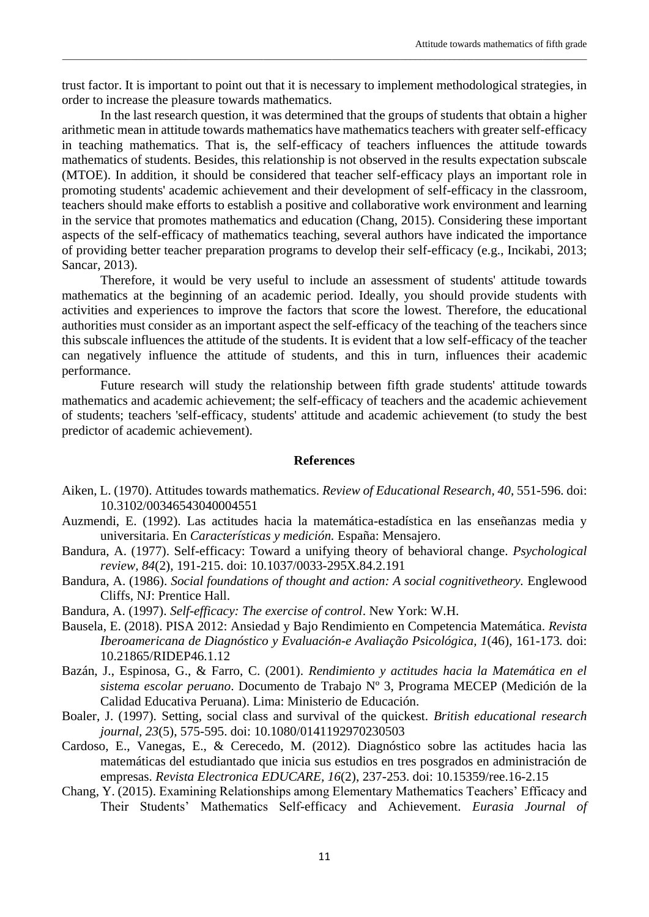trust factor. It is important to point out that it is necessary to implement methodological strategies, in order to increase the pleasure towards mathematics.

\_\_\_\_\_\_\_\_\_\_\_\_\_\_\_\_\_\_\_\_\_\_\_\_\_\_\_\_\_\_\_\_\_\_\_\_\_\_\_\_\_\_\_\_\_\_\_\_\_\_\_\_\_\_\_\_\_\_\_\_\_\_\_\_\_\_\_\_\_\_\_\_\_\_\_\_\_\_\_\_\_\_\_\_\_\_\_\_\_\_\_\_\_\_\_\_\_\_\_\_\_\_\_\_\_\_\_

In the last research question, it was determined that the groups of students that obtain a higher arithmetic mean in attitude towards mathematics have mathematics teachers with greater self-efficacy in teaching mathematics. That is, the self-efficacy of teachers influences the attitude towards mathematics of students. Besides, this relationship is not observed in the results expectation subscale (MTOE). In addition, it should be considered that teacher self-efficacy plays an important role in promoting students' academic achievement and their development of self-efficacy in the classroom, teachers should make efforts to establish a positive and collaborative work environment and learning in the service that promotes mathematics and education (Chang, 2015). Considering these important aspects of the self-efficacy of mathematics teaching, several authors have indicated the importance of providing better teacher preparation programs to develop their self-efficacy (e.g., Incikabi, 2013; Sancar, 2013).

Therefore, it would be very useful to include an assessment of students' attitude towards mathematics at the beginning of an academic period. Ideally, you should provide students with activities and experiences to improve the factors that score the lowest. Therefore, the educational authorities must consider as an important aspect the self-efficacy of the teaching of the teachers since this subscale influences the attitude of the students. It is evident that a low self-efficacy of the teacher can negatively influence the attitude of students, and this in turn, influences their academic performance.

Future research will study the relationship between fifth grade students' attitude towards mathematics and academic achievement; the self-efficacy of teachers and the academic achievement of students; teachers 'self-efficacy, students' attitude and academic achievement (to study the best predictor of academic achievement).

## **References**

- Aiken, L. (1970). Attitudes towards mathematics. *Review of Educational Research, 40*, 551-596. doi: [10.3102/00346543040004551](https://doi.org/10.3102%2F00346543040004551)
- Auzmendi, E. (1992). Las actitudes hacia la matemática-estadística en las enseñanzas media y universitaria. En *Características y medición.* España: Mensajero.
- Bandura, A. (1977). Self-efficacy: Toward a unifying theory of behavioral change. *Psychological review, 84*(2), 191-215. doi: [10.1037/0033-295X.84.2.191](https://psycnet.apa.org/doi/10.1037/0033-295X.84.2.191)
- Bandura, A. (1986). *Social foundations of thought and action: A social cognitivetheory.* Englewood Cliffs, NJ: Prentice Hall.
- Bandura, A. (1997). *Self-efficacy: The exercise of control*. New York: W.H.
- Bausela, E. (2018). PISA 2012: Ansiedad y Bajo Rendimiento en Competencia Matemática. *Revista Iberoamericana de Diagnóstico y Evaluación-e Avaliação Psicológica, 1*(46), 161-173*.* doi: 10.21865/RIDEP46.1.12
- Bazán, J., Espinosa, G., & Farro, C. (2001). *Rendimiento y actitudes hacia la Matemática en el sistema escolar peruano*. Documento de Trabajo Nº 3, Programa MECEP (Medición de la Calidad Educativa Peruana). Lima: Ministerio de Educación.
- Boaler, J. (1997). Setting, social class and survival of the quickest. *British educational research journal, 23*(5), 575-595. doi: [10.1080/0141192970230503](https://doi.org/10.1080/0141192970230503)
- Cardoso, E., Vanegas, E., & Cerecedo, M. (2012). Diagnóstico sobre las actitudes hacia las matemáticas del estudiantado que inicia sus estudios en tres posgrados en administración de empresas. *Revista Electronica EDUCARE, 16*(2), 237-253. doi: 10.15359/ree.16-2.15
- Chang, Y. (2015). Examining Relationships among Elementary Mathematics Teachers' Efficacy and Their Students' Mathematics Self-efficacy and Achievement. *Eurasia Journal of*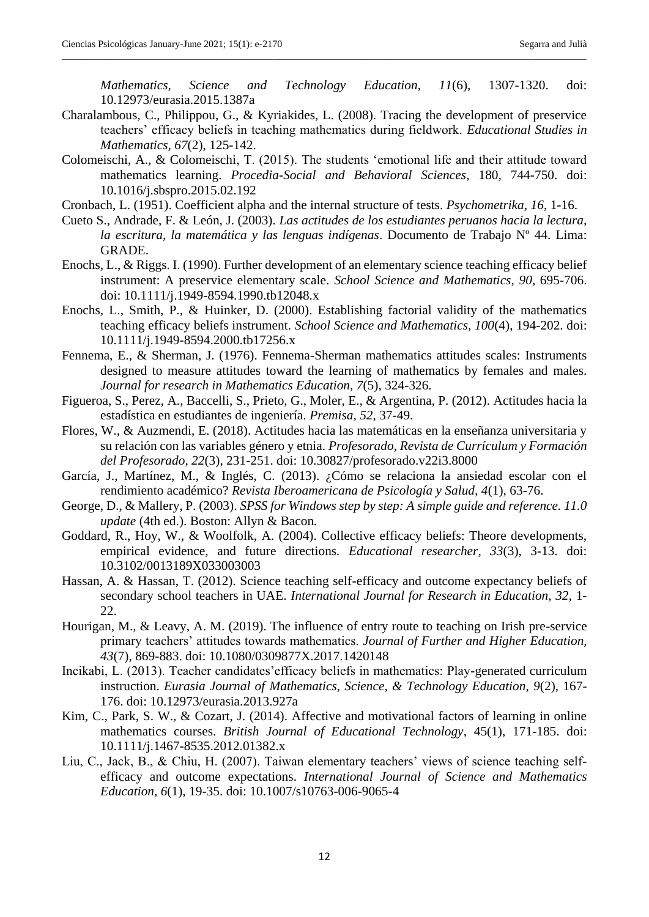*Mathematics, Science and Technology Education, 11*(6), 1307-1320. doi: 10.12973/eurasia.2015.1387a

Charalambous, C., Philippou, G., & Kyriakides, L. (2008). Tracing the development of preservice teachers' efficacy beliefs in teaching mathematics during fieldwork. *Educational Studies in Mathematics, 67*(2), 125-142.

\_\_\_\_\_\_\_\_\_\_\_\_\_\_\_\_\_\_\_\_\_\_\_\_\_\_\_\_\_\_\_\_\_\_\_\_\_\_\_\_\_\_\_\_\_\_\_\_\_\_\_\_\_\_\_\_\_\_\_\_\_\_\_\_\_\_\_\_\_\_\_\_\_\_\_\_\_\_\_\_\_\_\_\_\_\_\_\_\_\_\_\_\_\_\_\_\_\_\_\_\_\_\_\_\_\_\_

- Colomeischi, A., & Colomeischi, T. (2015). The students 'emotional life and their attitude toward mathematics learning. *Procedia-Social and Behavioral Sciences*, 180, 744-750. doi: [10.1016/j.sbspro.2015.02.192](https://doi.org/10.1016/j.sbspro.2015.02.192)
- Cronbach, L. (1951). Coefficient alpha and the internal structure of tests. *Psychometrika, 16*, 1-16.
- Cueto S., Andrade, F. & León, J. (2003). *Las actitudes de los estudiantes peruanos hacia la lectura, la escritura, la matemática y las lenguas indígenas*. Documento de Trabajo Nº 44. Lima: GRADE.
- Enochs, L., & Riggs. I. (1990). Further development of an elementary science teaching efficacy belief instrument: A preservice elementary scale. *School Science and Mathematics*, *90*, 695-706. doi: 10.1111/j.1949-8594.1990.tb12048.x
- Enochs, L., Smith, P., & Huinker, D. (2000). Establishing factorial validity of the mathematics teaching efficacy beliefs instrument. *School Science and Mathematics, 100*(4), 194-202. doi: [10.1111/j.1949-8594.2000.tb17256.x](https://doi.org/10.1111/j.1949-8594.2000.tb17256.x)
- Fennema, E., & Sherman, J. (1976). Fennema-Sherman mathematics attitudes scales: Instruments designed to measure attitudes toward the learning of mathematics by females and males. *Journal for research in Mathematics Education, 7*(5), 324-326.
- Figueroa, S., Perez, A., Baccelli, S., Prieto, G., Moler, E., & Argentina, P. (2012). Actitudes hacia la estadística en estudiantes de ingeniería. *Premisa, 52*, 37-49.
- Flores, W., & Auzmendi, E. (2018). Actitudes hacia las matemáticas en la enseñanza universitaria y su relación con las variables género y etnia. *Profesorado*, *Revista de Currículum y Formación del Profesorado*, *22*(3), 231-251. doi: [10.30827/profesorado.v22i3.8000](https://doi.org/10.30827/profesorado.v22i3.8000)
- García, J., Martínez, M., & Inglés, C. (2013). ¿Cómo se relaciona la ansiedad escolar con el rendimiento académico? *Revista Iberoamericana de Psicología y Salud, 4*(1), 63-76.
- George, D., & Mallery, P. (2003). *SPSS for Windows step by step: A simple guide and reference. 11.0 update* (4th ed.). Boston: Allyn & Bacon*.*
- Goddard, R., Hoy, W., & Woolfolk, A. (2004). Collective efficacy beliefs: Theore developments, empirical evidence, and future directions*. Educational researcher, 33*(3), 3-13. doi: [10.3102/0013189X033003003](https://doi.org/10.3102%2F0013189X033003003)
- Hassan, A. & Hassan, T. (2012). Science teaching self-efficacy and outcome expectancy beliefs of secondary school teachers in UAE. *International Journal for Research in Education, 32*, 1- 22.
- Hourigan, M., & Leavy, A. M. (2019). The influence of entry route to teaching on Irish pre-service primary teachers' attitudes towards mathematics. *Journal of Further and Higher Education, 43*(7), 869-883. doi: [10.1080/0309877X.2017.1420148](https://doi.org/10.1080/0309877X.2017.1420148)
- Incikabi, L. (2013). Teacher candidates'efficacy beliefs in mathematics: Play-generated curriculum instruction. *Eurasia Journal of Mathematics, Science, & Technology Education, 9*(2), 167- 176. doi: 10.12973/eurasia.2013.927a
- Kim, C., Park, S. W., & Cozart, J. (2014). Affective and motivational factors of learning in online mathematics courses. *British Journal of Educational Technology*, 45(1), 171-185. doi: [10.1111/j.1467-8535.2012.01382.x](https://doi.org/10.1111/j.1467-8535.2012.01382.x)
- Liu, C., Jack, B., & Chiu, H. (2007). Taiwan elementary teachers' views of science teaching selfefficacy and outcome expectations. *International Journal of Science and Mathematics Education*, *6*(1), 19-35. doi: 10.1007/s10763-006-9065-4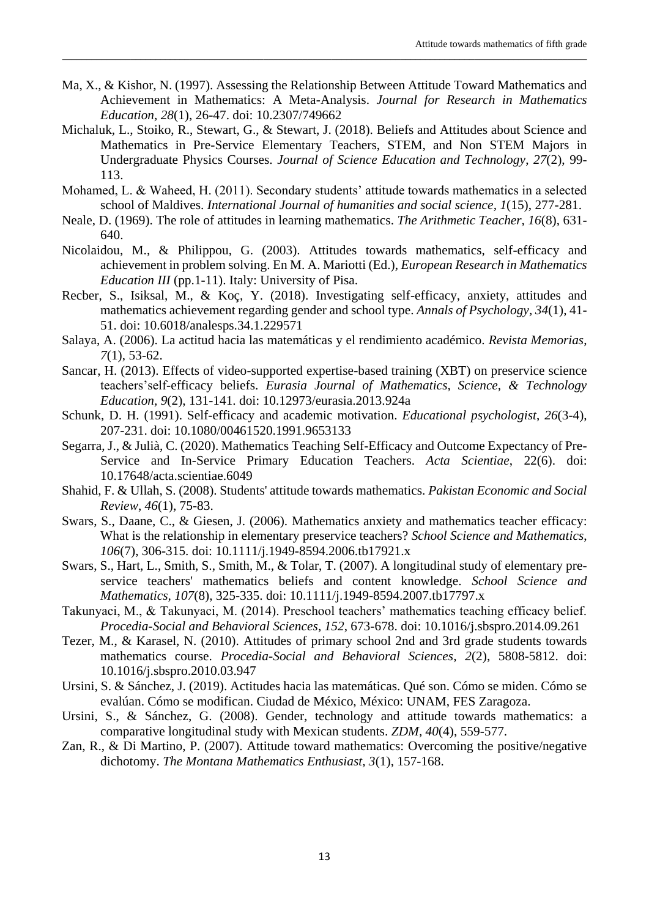Ma, X., & Kishor, N. (1997). Assessing the Relationship Between Attitude Toward Mathematics and Achievement in Mathematics: A Meta-Analysis. *Journal for Research in Mathematics Education, 28*(1), 26-47. doi: 10.2307/749662

\_\_\_\_\_\_\_\_\_\_\_\_\_\_\_\_\_\_\_\_\_\_\_\_\_\_\_\_\_\_\_\_\_\_\_\_\_\_\_\_\_\_\_\_\_\_\_\_\_\_\_\_\_\_\_\_\_\_\_\_\_\_\_\_\_\_\_\_\_\_\_\_\_\_\_\_\_\_\_\_\_\_\_\_\_\_\_\_\_\_\_\_\_\_\_\_\_\_\_\_\_\_\_\_\_\_\_

- Michaluk, L., Stoiko, R., Stewart, G., & Stewart, J. (2018). Beliefs and Attitudes about Science and Mathematics in Pre-Service Elementary Teachers, STEM, and Non STEM Majors in Undergraduate Physics Courses. *Journal of Science Education and Technology*, *27*(2), 99- 113.
- Mohamed, L. & Waheed, H. (2011). Secondary students' attitude towards mathematics in a selected school of Maldives. *International Journal of humanities and social science, 1*(15), 277-281.
- Neale, D. (1969). The role of attitudes in learning mathematics. *The Arithmetic Teacher, 16*(8), 631- 640.
- Nicolaidou, M., & Philippou, G. (2003). Attitudes towards mathematics, self-efficacy and achievement in problem solving. En M. A. Mariotti (Ed.), *European Research in Mathematics Education III* (pp.1-11). Italy: University of Pisa.
- Recber, S., Isiksal, M., & Koç, Y. (2018). Investigating self-efficacy, anxiety, attitudes and mathematics achievement regarding gender and school type. *Annals of Psychology, 34*(1), 41- 51. doi: 10.6018/analesps.34.1.229571
- Salaya, A. (2006). La actitud hacia las matemáticas y el rendimiento académico. *Revista Memorias*, *7*(1), 53-62.
- Sancar, H. (2013). Effects of video-supported expertise-based training (XBT) on preservice science teachers'self-efficacy beliefs. *Eurasia Journal of Mathematics, Science, & Technology Education, 9*(2), 131-141. doi: 10.12973/eurasia.2013.924a
- Schunk, D. H. (1991). Self-efficacy and academic motivation. *Educational psychologist*, *26*(3-4), 207-231. doi: [10.1080/00461520.1991.9653133](https://doi.org/10.1080/00461520.1991.9653133)
- Segarra, J., & Julià, C. (2020). Mathematics Teaching Self-Efficacy and Outcome Expectancy of Pre-Service and In-Service Primary Education Teachers. *Acta Scientiae*, 22(6). doi: 10.17648/acta.scientiae.6049
- Shahid, F. & Ullah, S. (2008). Students' attitude towards mathematics. *Pakistan Economic and Social Review*, *46*(1), 75-83.
- Swars, S., Daane, C., & Giesen, J. (2006). Mathematics anxiety and mathematics teacher efficacy: What is the relationship in elementary preservice teachers? *School Science and Mathematics*, *106*(7), 306-315. doi: 10.1111/j.1949-8594.2006.tb17921.x
- Swars, S., Hart, L., Smith, S., Smith, M., & Tolar, T. (2007). A longitudinal study of elementary preservice teachers' mathematics beliefs and content knowledge. *School Science and Mathematics, 107*(8), 325-335. doi: [10.1111/j.1949-8594.2007.tb17797.x](https://doi.org/10.1111/j.1949-8594.2007.tb17797.x)
- Takunyaci, M., & Takunyaci, M. (2014). Preschool teachers' mathematics teaching efficacy belief. *Procedia-Social and Behavioral Sciences*, *152*, 673-678. doi: [10.1016/j.sbspro.2014.09.261](https://doi.org/10.1016/j.sbspro.2014.09.261)
- Tezer, M., & Karasel, N. (2010). Attitudes of primary school 2nd and 3rd grade students towards mathematics course. *Procedia-Social and Behavioral Sciences, 2*(2), 5808-5812. doi: [10.1016/j.sbspro.2010.03.947](https://doi.org/10.1016/j.sbspro.2010.03.947)
- Ursini, S. & Sánchez, J. (2019). Actitudes hacia las matemáticas. Qué son. Cómo se miden. Cómo se evalúan. Cómo se modifican. Ciudad de México, México: UNAM, FES Zaragoza.
- Ursini, S., & Sánchez, G. (2008). Gender, technology and attitude towards mathematics: a comparative longitudinal study with Mexican students. *ZDM, 40*(4), 559-577.
- Zan, R., & Di Martino, P. (2007). Attitude toward mathematics: Overcoming the positive/negative dichotomy. *The Montana Mathematics Enthusiast, 3*(1), 157-168.